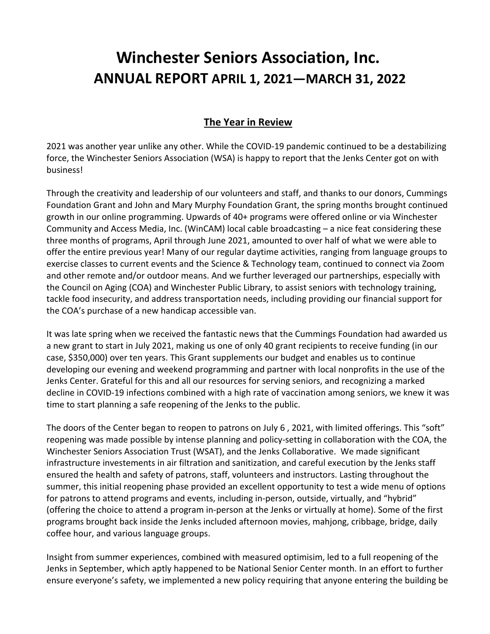# **Winchester Seniors Association, Inc. ANNUAL REPORT APRIL 1, 2021—MARCH 31, 2022**

# **The Year in Review**

2021 was another year unlike any other. While the COVID-19 pandemic continued to be a destabilizing force, the Winchester Seniors Association (WSA) is happy to report that the Jenks Center got on with business!

Through the creativity and leadership of our volunteers and staff, and thanks to our donors, Cummings Foundation Grant and John and Mary Murphy Foundation Grant, the spring months brought continued growth in our online programming. Upwards of 40+ programs were offered online or via Winchester Community and Access Media, Inc. (WinCAM) local cable broadcasting – a nice feat considering these three months of programs, April through June 2021, amounted to over half of what we were able to offer the entire previous year! Many of our regular daytime activities, ranging from language groups to exercise classes to current events and the Science & Technology team, continued to connect via Zoom and other remote and/or outdoor means. And we further leveraged our partnerships, especially with the Council on Aging (COA) and Winchester Public Library, to assist seniors with technology training, tackle food insecurity, and address transportation needs, including providing our financial support for the COA's purchase of a new handicap accessible van.

It was late spring when we received the fantastic news that the Cummings Foundation had awarded us a new grant to start in July 2021, making us one of only 40 grant recipients to receive funding (in our case, \$350,000) over ten years. This Grant supplements our budget and enables us to continue developing our evening and weekend programming and partner with local nonprofits in the use of the Jenks Center. Grateful for this and all our resources for serving seniors, and recognizing a marked decline in COVID-19 infections combined with a high rate of vaccination among seniors, we knew it was time to start planning a safe reopening of the Jenks to the public.

The doors of the Center began to reopen to patrons on July 6 , 2021, with limited offerings. This "soft" reopening was made possible by intense planning and policy-setting in collaboration with the COA, the Winchester Seniors Association Trust (WSAT), and the Jenks Collaborative. We made significant infrastructure investements in air filtration and sanitization, and careful execution by the Jenks staff ensured the health and safety of patrons, staff, volunteers and instructors. Lasting throughout the summer, this initial reopening phase provided an excellent opportunity to test a wide menu of options for patrons to attend programs and events, including in-person, outside, virtually, and "hybrid" (offering the choice to attend a program in-person at the Jenks or virtually at home). Some of the first programs brought back inside the Jenks included afternoon movies, mahjong, cribbage, bridge, daily coffee hour, and various language groups.

Insight from summer experiences, combined with measured optimisim, led to a full reopening of the Jenks in September, which aptly happened to be National Senior Center month. In an effort to further ensure everyone's safety, we implemented a new policy requiring that anyone entering the building be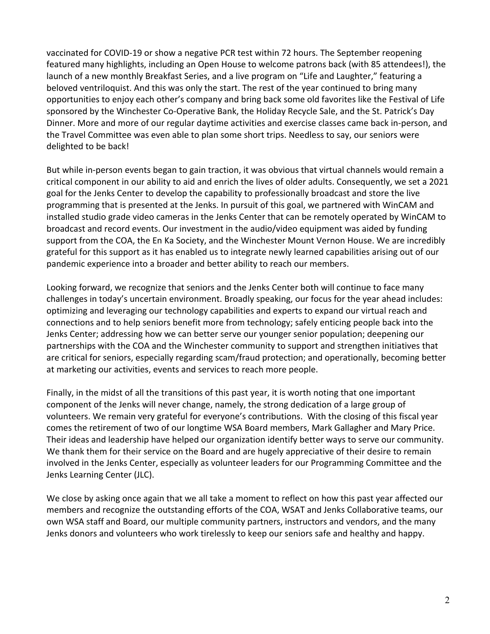vaccinated for COVID-19 or show a negative PCR test within 72 hours. The September reopening featured many highlights, including an Open House to welcome patrons back (with 85 attendees!), the launch of a new monthly Breakfast Series, and a live program on "Life and Laughter," featuring a beloved ventriloquist. And this was only the start. The rest of the year continued to bring many opportunities to enjoy each other's company and bring back some old favorites like the Festival of Life sponsored by the Winchester Co-Operative Bank, the Holiday Recycle Sale, and the St. Patrick's Day Dinner. More and more of our regular daytime activities and exercise classes came back in-person, and the Travel Committee was even able to plan some short trips. Needless to say, our seniors were delighted to be back!

But while in-person events began to gain traction, it was obvious that virtual channels would remain a critical component in our ability to aid and enrich the lives of older adults. Consequently, we set a 2021 goal for the Jenks Center to develop the capability to professionally broadcast and store the live programming that is presented at the Jenks. In pursuit of this goal, we partnered with WinCAM and installed studio grade video cameras in the Jenks Center that can be remotely operated by WinCAM to broadcast and record events. Our investment in the audio/video equipment was aided by funding support from the COA, the En Ka Society, and the Winchester Mount Vernon House. We are incredibly grateful for this support as it has enabled us to integrate newly learned capabilities arising out of our pandemic experience into a broader and better ability to reach our members.

Looking forward, we recognize that seniors and the Jenks Center both will continue to face many challenges in today's uncertain environment. Broadly speaking, our focus for the year ahead includes: optimizing and leveraging our technology capabilities and experts to expand our virtual reach and connections and to help seniors benefit more from technology; safely enticing people back into the Jenks Center; addressing how we can better serve our younger senior population; deepening our partnerships with the COA and the Winchester community to support and strengthen initiatives that are critical for seniors, especially regarding scam/fraud protection; and operationally, becoming better at marketing our activities, events and services to reach more people.

Finally, in the midst of all the transitions of this past year, it is worth noting that one important component of the Jenks will never change, namely, the strong dedication of a large group of volunteers. We remain very grateful for everyone's contributions. With the closing of this fiscal year comes the retirement of two of our longtime WSA Board members, Mark Gallagher and Mary Price. Their ideas and leadership have helped our organization identify better ways to serve our community. We thank them for their service on the Board and are hugely appreciative of their desire to remain involved in the Jenks Center, especially as volunteer leaders for our Programming Committee and the Jenks Learning Center (JLC).

We close by asking once again that we all take a moment to reflect on how this past year affected our members and recognize the outstanding efforts of the COA, WSAT and Jenks Collaborative teams, our own WSA staff and Board, our multiple community partners, instructors and vendors, and the many Jenks donors and volunteers who work tirelessly to keep our seniors safe and healthy and happy.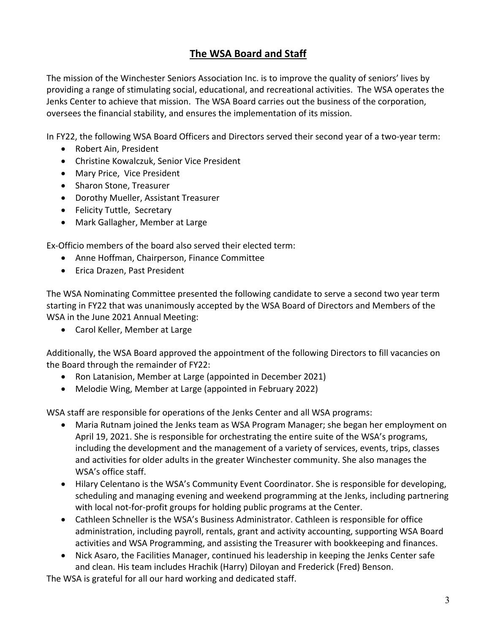# **The WSA Board and Staff**

The mission of the Winchester Seniors Association Inc. is to improve the quality of seniors' lives by providing a range of stimulating social, educational, and recreational activities. The WSA operates the Jenks Center to achieve that mission. The WSA Board carries out the business of the corporation, oversees the financial stability, and ensures the implementation of its mission.

In FY22, the following WSA Board Officers and Directors served their second year of a two-year term:

- Robert Ain, President
- Christine Kowalczuk, Senior Vice President
- Mary Price, Vice President
- Sharon Stone, Treasurer
- Dorothy Mueller, Assistant Treasurer
- Felicity Tuttle, Secretary
- Mark Gallagher, Member at Large

Ex-Officio members of the board also served their elected term:

- Anne Hoffman, Chairperson, Finance Committee
- Erica Drazen, Past President

The WSA Nominating Committee presented the following candidate to serve a second two year term starting in FY22 that was unanimously accepted by the WSA Board of Directors and Members of the WSA in the June 2021 Annual Meeting:

• Carol Keller, Member at Large

Additionally, the WSA Board approved the appointment of the following Directors to fill vacancies on the Board through the remainder of FY22:

- Ron Latanision, Member at Large (appointed in December 2021)
- Melodie Wing, Member at Large (appointed in February 2022)

WSA staff are responsible for operations of the Jenks Center and all WSA programs:

- Maria Rutnam joined the Jenks team as WSA Program Manager; she began her employment on April 19, 2021. She is responsible for orchestrating the entire suite of the WSA's programs, including the development and the management of a variety of services, events, trips, classes and activities for older adults in the greater Winchester community. She also manages the WSA's office staff.
- Hilary Celentano is the WSA's Community Event Coordinator. She is responsible for developing, scheduling and managing evening and weekend programming at the Jenks, including partnering with local not-for-profit groups for holding public programs at the Center.
- Cathleen Schneller is the WSA's Business Administrator. Cathleen is responsible for office administration, including payroll, rentals, grant and activity accounting, supporting WSA Board activities and WSA Programming, and assisting the Treasurer with bookkeeping and finances.
- Nick Asaro, the Facilities Manager, continued his leadership in keeping the Jenks Center safe and clean. His team includes Hrachik (Harry) Diloyan and Frederick (Fred) Benson.

The WSA is grateful for all our hard working and dedicated staff.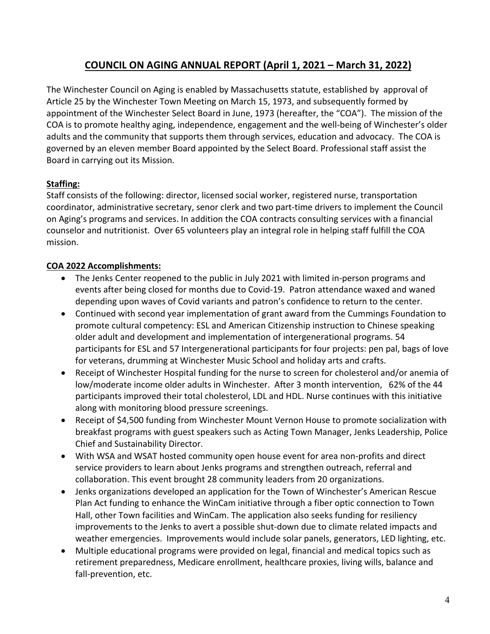# **COUNCIL ON AGING ANNUAL REPORT (April 1, 2021 – March 31, 2022)**

The Winchester Council on Aging is enabled by Massachusetts statute, established by approval of Article 25 by the Winchester Town Meeting on March 15, 1973, and subsequently formed by appointment of the Winchester Select Board in June, 1973 (hereafter, the "COA"). The mission of the COA is to promote healthy aging, independence, engagement and the well-being of Winchester's older adults and the community that supports them through services, education and advocacy. The COA is governed by an eleven member Board appointed by the Select Board. Professional staff assist the Board in carrying out its Mission.

## **Staffing:**

Staff consists of the following: director, licensed social worker, registered nurse, transportation coordinator, administrative secretary, senor clerk and two part-time drivers to implement the Council on Aging's programs and services. In addition the COA contracts consulting services with a financial counselor and nutritionist. Over 65 volunteers play an integral role in helping staff fulfill the COA mission.

### **COA 2022 Accomplishments:**

- The Jenks Center reopened to the public in July 2021 with limited in-person programs and events after being closed for months due to Covid-19. Patron attendance waxed and waned depending upon waves of Covid variants and patron's confidence to return to the center.
- Continued with second year implementation of grant award from the Cummings Foundation to promote cultural competency: ESL and American Citizenship instruction to Chinese speaking older adult and development and implementation of intergenerational programs. 54 participants for ESL and 57 Intergenerational participants for four projects: pen pal, bags of love for veterans, drumming at Winchester Music School and holiday arts and crafts.
- Receipt of Winchester Hospital funding for the nurse to screen for cholesterol and/or anemia of low/moderate income older adults in Winchester. After 3 month intervention, 62% of the 44 participants improved their total cholesterol, LDL and HDL. Nurse continues with this initiative along with monitoring blood pressure screenings.
- Receipt of \$4,500 funding from Winchester Mount Vernon House to promote socialization with breakfast programs with guest speakers such as Acting Town Manager, Jenks Leadership, Police Chief and Sustainability Director.
- With WSA and WSAT hosted community open house event for area non-profits and direct service providers to learn about Jenks programs and strengthen outreach, referral and collaboration. This event brought 28 community leaders from 20 organizations.
- Jenks organizations developed an application for the Town of Winchester's American Rescue Plan Act funding to enhance the WinCam initiative through a fiber optic connection to Town Hall, other Town facilities and WinCam. The application also seeks funding for resiliency improvements to the Jenks to avert a possible shut-down due to climate related impacts and weather emergencies. Improvements would include solar panels, generators, LED lighting, etc.
- Multiple educational programs were provided on legal, financial and medical topics such as retirement preparedness, Medicare enrollment, healthcare proxies, living wills, balance and fall-prevention, etc.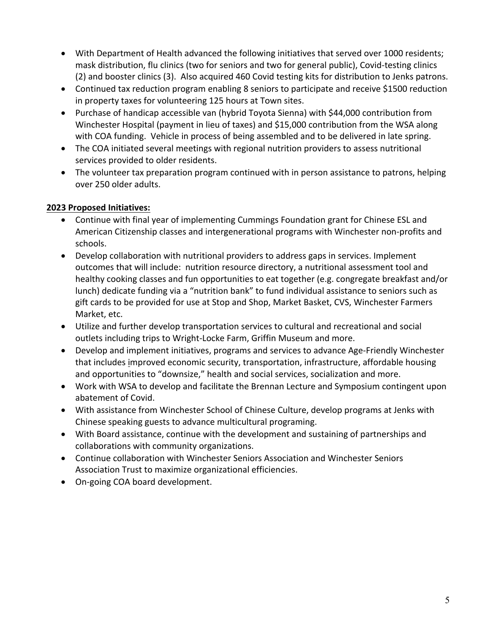- With Department of Health advanced the following initiatives that served over 1000 residents; mask distribution, flu clinics (two for seniors and two for general public), Covid-testing clinics (2) and booster clinics (3). Also acquired 460 Covid testing kits for distribution to Jenks patrons.
- Continued tax reduction program enabling 8 seniors to participate and receive \$1500 reduction in property taxes for volunteering 125 hours at Town sites.
- Purchase of handicap accessible van (hybrid Toyota Sienna) with \$44,000 contribution from Winchester Hospital (payment in lieu of taxes) and \$15,000 contribution from the WSA along with COA funding. Vehicle in process of being assembled and to be delivered in late spring.
- The COA initiated several meetings with regional nutrition providers to assess nutritional services provided to older residents.
- The volunteer tax preparation program continued with in person assistance to patrons, helping over 250 older adults.

# **2023 Proposed Initiatives:**

- Continue with final year of implementing Cummings Foundation grant for Chinese ESL and American Citizenship classes and intergenerational programs with Winchester non-profits and schools.
- Develop collaboration with nutritional providers to address gaps in services. Implement outcomes that will include: nutrition resource directory, a nutritional assessment tool and healthy cooking classes and fun opportunities to eat together (e.g. congregate breakfast and/or lunch) dedicate funding via a "nutrition bank" to fund individual assistance to seniors such as gift cards to be provided for use at Stop and Shop, Market Basket, CVS, Winchester Farmers Market, etc.
- Utilize and further develop transportation services to cultural and recreational and social outlets including trips to Wright-Locke Farm, Griffin Museum and more.
- Develop and implement initiatives, programs and services to advance Age-Friendly Winchester that includes improved economic security, transportation, infrastructure, affordable housing and opportunities to "downsize," health and social services, socialization and more.
- Work with WSA to develop and facilitate the Brennan Lecture and Symposium contingent upon abatement of Covid.
- With assistance from Winchester School of Chinese Culture, develop programs at Jenks with Chinese speaking guests to advance multicultural programing.
- With Board assistance, continue with the development and sustaining of partnerships and collaborations with community organizations.
- Continue collaboration with Winchester Seniors Association and Winchester Seniors Association Trust to maximize organizational efficiencies.
- On-going COA board development.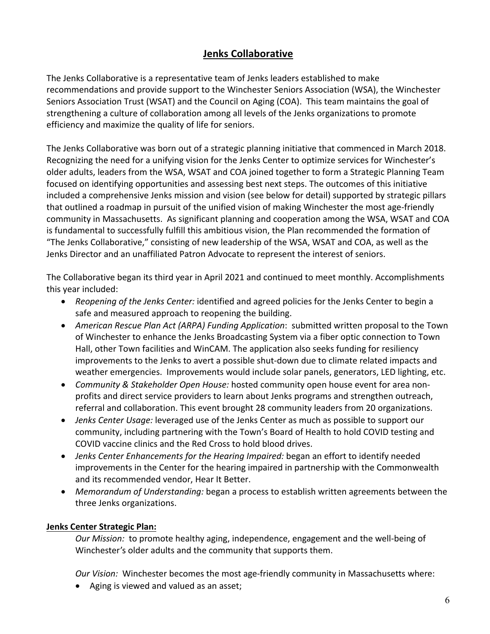# **Jenks Collaborative**

The Jenks Collaborative is a representative team of Jenks leaders established to make recommendations and provide support to the Winchester Seniors Association (WSA), the Winchester Seniors Association Trust (WSAT) and the Council on Aging (COA). This team maintains the goal of strengthening a culture of collaboration among all levels of the Jenks organizations to promote efficiency and maximize the quality of life for seniors.

The Jenks Collaborative was born out of a strategic planning initiative that commenced in March 2018. Recognizing the need for a unifying vision for the Jenks Center to optimize services for Winchester's older adults, leaders from the WSA, WSAT and COA joined together to form a Strategic Planning Team focused on identifying opportunities and assessing best next steps. The outcomes of this initiative included a comprehensive Jenks mission and vision (see below for detail) supported by strategic pillars that outlined a roadmap in pursuit of the unified vision of making Winchester the most age-friendly community in Massachusetts. As significant planning and cooperation among the WSA, WSAT and COA is fundamental to successfully fulfill this ambitious vision, the Plan recommended the formation of "The Jenks Collaborative," consisting of new leadership of the WSA, WSAT and COA, as well as the Jenks Director and an unaffiliated Patron Advocate to represent the interest of seniors.

The Collaborative began its third year in April 2021 and continued to meet monthly. Accomplishments this year included:

- *Reopening of the Jenks Center:* identified and agreed policies for the Jenks Center to begin a safe and measured approach to reopening the building.
- *American Rescue Plan Act (ARPA) Funding Application*: submitted written proposal to the Town of Winchester to enhance the Jenks Broadcasting System via a fiber optic connection to Town Hall, other Town facilities and WinCAM. The application also seeks funding for resiliency improvements to the Jenks to avert a possible shut-down due to climate related impacts and weather emergencies. Improvements would include solar panels, generators, LED lighting, etc.
- *Community & Stakeholder Open House:* hosted community open house event for area nonprofits and direct service providers to learn about Jenks programs and strengthen outreach, referral and collaboration. This event brought 28 community leaders from 20 organizations.
- *Jenks Center Usage:* leveraged use of the Jenks Center as much as possible to support our community, including partnering with the Town's Board of Health to hold COVID testing and COVID vaccine clinics and the Red Cross to hold blood drives.
- *Jenks Center Enhancements for the Hearing Impaired:* began an effort to identify needed improvements in the Center for the hearing impaired in partnership with the Commonwealth and its recommended vendor, Hear It Better.
- *Memorandum of Understanding:* began a process to establish written agreements between the three Jenks organizations.

### **Jenks Center Strategic Plan:**

*Our Mission:* to promote healthy aging, independence, engagement and the well-being of Winchester's older adults and the community that supports them.

*Our Vision:* Winchester becomes the most age-friendly community in Massachusetts where:

• Aging is viewed and valued as an asset;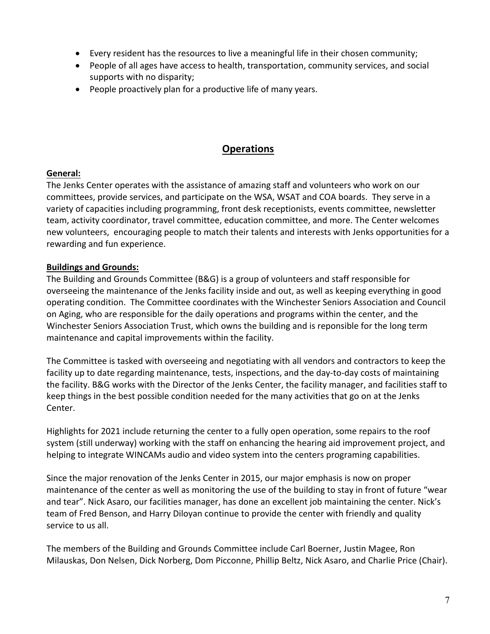- Every resident has the resources to live a meaningful life in their chosen community;
- People of all ages have access to health, transportation, community services, and social supports with no disparity;
- People proactively plan for a productive life of many years.

# **Operations**

## **General:**

The Jenks Center operates with the assistance of amazing staff and volunteers who work on our committees, provide services, and participate on the WSA, WSAT and COA boards. They serve in a variety of capacities including programming, front desk receptionists, events committee, newsletter team, activity coordinator, travel committee, education committee, and more. The Center welcomes new volunteers, encouraging people to match their talents and interests with Jenks opportunities for a rewarding and fun experience.

## **Buildings and Grounds:**

The Building and Grounds Committee (B&G) is a group of volunteers and staff responsible for overseeing the maintenance of the Jenks facility inside and out, as well as keeping everything in good operating condition. The Committee coordinates with the Winchester Seniors Association and Council on Aging, who are responsible for the daily operations and programs within the center, and the Winchester Seniors Association Trust, which owns the building and is reponsible for the long term maintenance and capital improvements within the facility.

The Committee is tasked with overseeing and negotiating with all vendors and contractors to keep the facility up to date regarding maintenance, tests, inspections, and the day-to-day costs of maintaining the facility. B&G works with the Director of the Jenks Center, the facility manager, and facilities staff to keep things in the best possible condition needed for the many activities that go on at the Jenks Center.

Highlights for 2021 include returning the center to a fully open operation, some repairs to the roof system (still underway) working with the staff on enhancing the hearing aid improvement project, and helping to integrate WINCAMs audio and video system into the centers programing capabilities.

Since the major renovation of the Jenks Center in 2015, our major emphasis is now on proper maintenance of the center as well as monitoring the use of the building to stay in front of future "wear and tear". Nick Asaro, our facilities manager, has done an excellent job maintaining the center. Nick's team of Fred Benson, and Harry Diloyan continue to provide the center with friendly and quality service to us all.

The members of the Building and Grounds Committee include Carl Boerner, Justin Magee, Ron Milauskas, Don Nelsen, Dick Norberg, Dom Picconne, Phillip Beltz, Nick Asaro, and Charlie Price (Chair).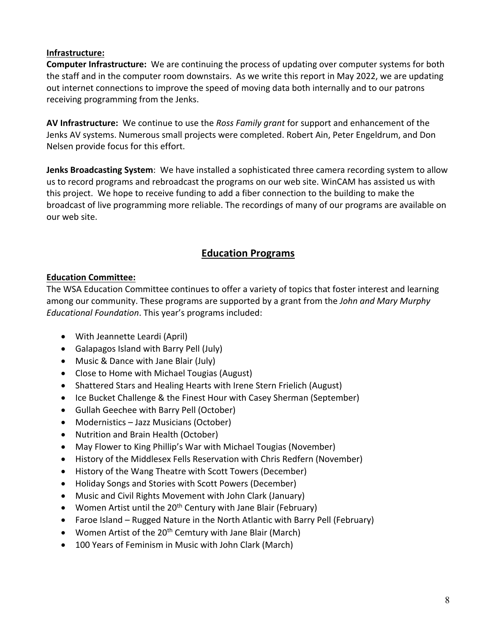### **Infrastructure:**

**Computer Infrastructure:** We are continuing the process of updating over computer systems for both the staff and in the computer room downstairs. As we write this report in May 2022, we are updating out internet connections to improve the speed of moving data both internally and to our patrons receiving programming from the Jenks.

**AV Infrastructure:** We continue to use the *Ross Family grant* for support and enhancement of the Jenks AV systems. Numerous small projects were completed. Robert Ain, Peter Engeldrum, and Don Nelsen provide focus for this effort.

**Jenks Broadcasting System**: We have installed a sophisticated three camera recording system to allow us to record programs and rebroadcast the programs on our web site. WinCAM has assisted us with this project. We hope to receive funding to add a fiber connection to the building to make the broadcast of live programming more reliable. The recordings of many of our programs are available on our web site.

# **Education Programs**

### **Education Committee:**

The WSA Education Committee continues to offer a variety of topics that foster interest and learning among our community. These programs are supported by a grant from the *John and Mary Murphy Educational Foundation*. This year's programs included:

- With Jeannette Leardi (April)
- Galapagos Island with Barry Pell (July)
- Music & Dance with Jane Blair (July)
- Close to Home with Michael Tougias (August)
- Shattered Stars and Healing Hearts with Irene Stern Frielich (August)
- Ice Bucket Challenge & the Finest Hour with Casey Sherman (September)
- Gullah Geechee with Barry Pell (October)
- Modernistics Jazz Musicians (October)
- Nutrition and Brain Health (October)
- May Flower to King Phillip's War with Michael Tougias (November)
- History of the Middlesex Fells Reservation with Chris Redfern (November)
- History of the Wang Theatre with Scott Towers (December)
- Holiday Songs and Stories with Scott Powers (December)
- Music and Civil Rights Movement with John Clark (January)
- Women Artist until the  $20<sup>th</sup>$  Century with Jane Blair (February)
- Faroe Island Rugged Nature in the North Atlantic with Barry Pell (February)
- Women Artist of the 20<sup>th</sup> Cemtury with Jane Blair (March)
- 100 Years of Feminism in Music with John Clark (March)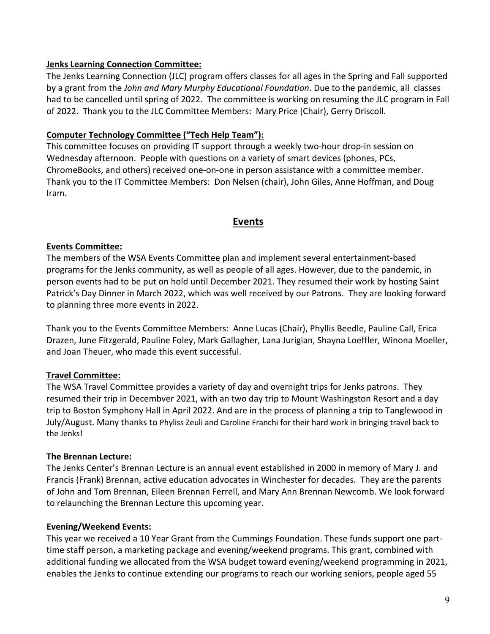### **Jenks Learning Connection Committee:**

The Jenks Learning Connection (JLC) program offers classes for all ages in the Spring and Fall supported by a grant from the *John and Mary Murphy Educational Foundation*. Due to the pandemic, all classes had to be cancelled until spring of 2022. The committee is working on resuming the JLC program in Fall of 2022. Thank you to the JLC Committee Members: Mary Price (Chair), Gerry Driscoll.

# **Computer Technology Committee ("Tech Help Team"):**

This committee focuses on providing IT support through a weekly two-hour drop-in session on Wednesday afternoon. People with questions on a variety of smart devices (phones, PCs, ChromeBooks, and others) received one-on-one in person assistance with a committee member. Thank you to the IT Committee Members: Don Nelsen (chair), John Giles, Anne Hoffman, and Doug Iram.

# **Events**

## **Events Committee:**

The members of the WSA Events Committee plan and implement several entertainment-based programs for the Jenks community, as well as people of all ages. However, due to the pandemic, in person events had to be put on hold until December 2021. They resumed their work by hosting Saint Patrick's Day Dinner in March 2022, which was well received by our Patrons. They are looking forward to planning three more events in 2022.

Thank you to the Events Committee Members: Anne Lucas (Chair), Phyllis Beedle, Pauline Call, Erica Drazen, June Fitzgerald, Pauline Foley, Mark Gallagher, Lana Jurigian, Shayna Loeffler, Winona Moeller, and Joan Theuer, who made this event successful.

# **Travel Committee:**

The WSA Travel Committee provides a variety of day and overnight trips for Jenks patrons. They resumed their trip in Decembver 2021, with an two day trip to Mount Washingston Resort and a day trip to Boston Symphony Hall in April 2022. And are in the process of planning a trip to Tanglewood in July/August. Many thanks to Phyliss Zeuli and Caroline Franchi for their hard work in bringing travel back to the Jenks!

# **The Brennan Lecture:**

The Jenks Center's Brennan Lecture is an annual event established in 2000 in memory of Mary J. and Francis (Frank) Brennan, active education advocates in Winchester for decades. They are the parents of John and Tom Brennan, Eileen Brennan Ferrell, and Mary Ann Brennan Newcomb. We look forward to relaunching the Brennan Lecture this upcoming year.

# **Evening/Weekend Events:**

This year we received a 10 Year Grant from the Cummings Foundation. These funds support one parttime staff person, a marketing package and evening/weekend programs. This grant, combined with additional funding we allocated from the WSA budget toward evening/weekend programming in 2021, enables the Jenks to continue extending our programs to reach our working seniors, people aged 55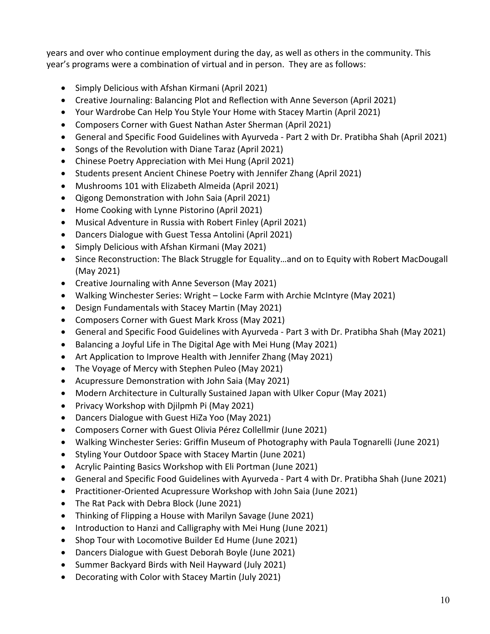years and over who continue employment during the day, as well as others in the community. This year's programs were a combination of virtual and in person. They are as follows:

- Simply Delicious with Afshan Kirmani (April 2021)
- Creative Journaling: Balancing Plot and Reflection with Anne Severson (April 2021)
- Your Wardrobe Can Help You Style Your Home with Stacey Martin (April 2021)
- Composers Corner with Guest Nathan Aster Sherman (April 2021)
- General and Specific Food Guidelines with Ayurveda Part 2 with Dr. Pratibha Shah (April 2021)
- Songs of the Revolution with Diane Taraz (April 2021)
- Chinese Poetry Appreciation with Mei Hung (April 2021)
- Students present Ancient Chinese Poetry with Jennifer Zhang (April 2021)
- Mushrooms 101 with Elizabeth Almeida (April 2021)
- Qigong Demonstration with John Saia (April 2021)
- Home Cooking with Lynne Pistorino (April 2021)
- Musical Adventure in Russia with Robert Finley (April 2021)
- Dancers Dialogue with Guest Tessa Antolini (April 2021)
- Simply Delicious with Afshan Kirmani (May 2021)
- Since Reconstruction: The Black Struggle for Equality…and on to Equity with Robert MacDougall (May 2021)
- Creative Journaling with Anne Severson (May 2021)
- Walking Winchester Series: Wright Locke Farm with Archie McIntyre (May 2021)
- Design Fundamentals with Stacey Martin (May 2021)
- Composers Corner with Guest Mark Kross (May 2021)
- General and Specific Food Guidelines with Ayurveda Part 3 with Dr. Pratibha Shah (May 2021)
- Balancing a Joyful Life in The Digital Age with Mei Hung (May 2021)
- Art Application to Improve Health with Jennifer Zhang (May 2021)
- The Voyage of Mercy with Stephen Puleo (May 2021)
- Acupressure Demonstration with John Saia (May 2021)
- Modern Architecture in Culturally Sustained Japan with Ulker Copur (May 2021)
- Privacy Workshop with Djilpmh Pi (May 2021)
- Dancers Dialogue with Guest HiZa Yoo (May 2021)
- Composers Corner with Guest Olivia Pérez Collellmir (June 2021)
- Walking Winchester Series: Griffin Museum of Photography with Paula Tognarelli (June 2021)
- Styling Your Outdoor Space with Stacey Martin (June 2021)
- Acrylic Painting Basics Workshop with Eli Portman (June 2021)
- General and Specific Food Guidelines with Ayurveda Part 4 with Dr. Pratibha Shah (June 2021)
- Practitioner-Oriented Acupressure Workshop with John Saia (June 2021)
- The Rat Pack with Debra Block (June 2021)
- Thinking of Flipping a House with Marilyn Savage (June 2021)
- Introduction to Hanzi and Calligraphy with Mei Hung (June 2021)
- Shop Tour with Locomotive Builder Ed Hume (June 2021)
- Dancers Dialogue with Guest Deborah Boyle (June 2021)
- Summer Backyard Birds with Neil Hayward (July 2021)
- Decorating with Color with Stacey Martin (July 2021)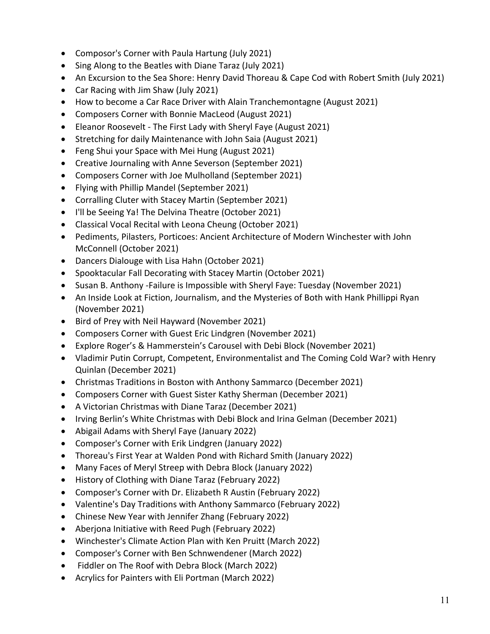- Composor's Corner with Paula Hartung (July 2021)
- Sing Along to the Beatles with Diane Taraz (July 2021)
- An Excursion to the Sea Shore: Henry David Thoreau & Cape Cod with Robert Smith (July 2021)
- Car Racing with Jim Shaw (July 2021)
- How to become a Car Race Driver with Alain Tranchemontagne (August 2021)
- Composers Corner with Bonnie MacLeod (August 2021)
- Eleanor Roosevelt The First Lady with Sheryl Faye (August 2021)
- Stretching for daily Maintenance with John Saia (August 2021)
- Feng Shui your Space with Mei Hung (August 2021)
- Creative Journaling with Anne Severson (September 2021)
- Composers Corner with Joe Mulholland (September 2021)
- Flying with Phillip Mandel (September 2021)
- Corralling Cluter with Stacey Martin (September 2021)
- I'll be Seeing Ya! The Delvina Theatre (October 2021)
- Classical Vocal Recital with Leona Cheung (October 2021)
- Pediments, Pilasters, Porticoes: Ancient Architecture of Modern Winchester with John McConnell (October 2021)
- Dancers Dialouge with Lisa Hahn (October 2021)
- Spooktacular Fall Decorating with Stacey Martin (October 2021)
- Susan B. Anthony -Failure is Impossible with Sheryl Faye: Tuesday (November 2021)
- An Inside Look at Fiction, Journalism, and the Mysteries of Both with Hank Phillippi Ryan (November 2021)
- Bird of Prey with Neil Hayward (November 2021)
- Composers Corner with Guest Eric Lindgren (November 2021)
- Explore Roger's & Hammerstein's Carousel with Debi Block (November 2021)
- Vladimir Putin Corrupt, Competent, Environmentalist and The Coming Cold War? with Henry Quinlan (December 2021)
- Christmas Traditions in Boston with Anthony Sammarco (December 2021)
- Composers Corner with Guest Sister Kathy Sherman (December 2021)
- A Victorian Christmas with Diane Taraz (December 2021)
- Irving Berlin's White Christmas with Debi Block and Irina Gelman (December 2021)
- Abigail Adams with Sheryl Faye (January 2022)
- Composer's Corner with Erik Lindgren (January 2022)
- Thoreau's First Year at Walden Pond with Richard Smith (January 2022)
- Many Faces of Meryl Streep with Debra Block (January 2022)
- History of Clothing with Diane Taraz (February 2022)
- Composer's Corner with Dr. Elizabeth R Austin (February 2022)
- Valentine's Day Traditions with Anthony Sammarco (February 2022)
- Chinese New Year with Jennifer Zhang (February 2022)
- Aberjona Initiative with Reed Pugh (February 2022)
- Winchester's Climate Action Plan with Ken Pruitt (March 2022)
- Composer's Corner with Ben Schnwendener (March 2022)
- Fiddler on The Roof with Debra Block (March 2022)
- Acrylics for Painters with Eli Portman (March 2022)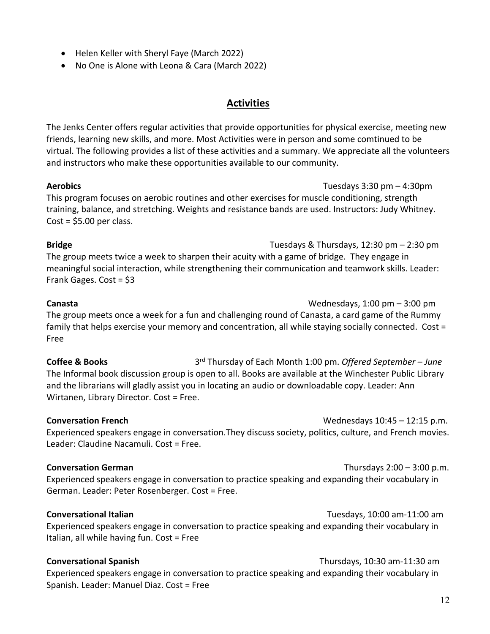- Helen Keller with Sheryl Faye (March 2022)
- No One is Alone with Leona & Cara (March 2022)

# **Activities**

The Jenks Center offers regular activities that provide opportunities for physical exercise, meeting new friends, learning new skills, and more. Most Activities were in person and some comtinued to be virtual. The following provides a list of these activities and a summary. We appreciate all the volunteers and instructors who make these opportunities available to our community.

**Aerobics** Tuesdays 3:30 pm – 4:30pm This program focuses on aerobic routines and other exercises for muscle conditioning, strength training, balance, and stretching. Weights and resistance bands are used. Instructors: Judy Whitney.  $Cost = $5.00$  per class.

**Bridge** Tuesdays & Thursdays, 12:30 pm – 2:30 pm The group meets twice a week to sharpen their acuity with a game of bridge. They engage in meaningful social interaction, while strengthening their communication and teamwork skills. Leader: Frank Gages. Cost = \$3

### **Canasta** Wednesdays, 1:00 pm – 3:00 pm

The group meets once a week for a fun and challenging round of Canasta, a card game of the Rummy family that helps exercise your memory and concentration, all while staying socially connected. Cost = Free

**Coffee & Books** 3rd Thursday of Each Month 1:00 pm. *Offered September – June* The Informal book discussion group is open to all. Books are available at the Winchester Public Library and the librarians will gladly assist you in locating an audio or downloadable copy. Leader: Ann Wirtanen, Library Director. Cost = Free.

**Conversation French** Mateural Media and Media Wednesdays 10:45 – 12:15 p.m. Experienced speakers engage in conversation.They discuss society, politics, culture, and French movies. Leader: Claudine Nacamuli. Cost = Free.

### **Conversation German** Thursdays 2:00 – 3:00 p.m.

Experienced speakers engage in conversation to practice speaking and expanding their vocabulary in German. Leader: Peter Rosenberger. Cost = Free.

### **Conversational Italian** Tuesdays, 10:00 am-11:00 am

Experienced speakers engage in conversation to practice speaking and expanding their vocabulary in Italian, all while having fun. Cost = Free

### **Conversational Spanish** Thursdays, 10:30 am-11:30 am

Experienced speakers engage in conversation to practice speaking and expanding their vocabulary in Spanish. Leader: Manuel Diaz. Cost = Free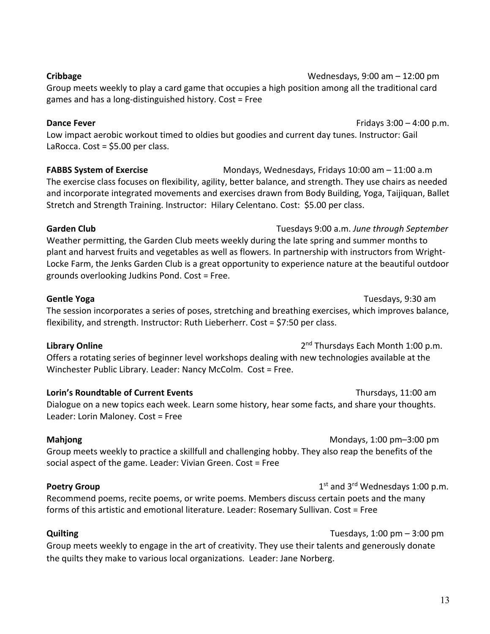**Cribbage** Wednesdays, 9:00 am – 12:00 pm

Group meets weekly to play a card game that occupies a high position among all the traditional card games and has a long-distinguished history. Cost = Free

### **Dance Fever Example 2:00 Dance Fever Fridays** 3:00 – 4:00 p.m.

Low impact aerobic workout timed to oldies but goodies and current day tunes. Instructor: Gail LaRocca. Cost = \$5.00 per class.

**FABBS System of Exercise** Mondays, Wednesdays, Fridays 10:00 am – 11:00 a.m The exercise class focuses on flexibility, agility, better balance, and strength. They use chairs as needed and incorporate integrated movements and exercises drawn from Body Building, Yoga, Taijiquan, Ballet Stretch and Strength Training. Instructor: Hilary Celentano. Cost: \$5.00 per class.

**Garden Club** Tuesdays 9:00 a.m. *June through September* Weather permitting, the Garden Club meets weekly during the late spring and summer months to plant and harvest fruits and vegetables as well as flowers. In partnership with instructors from Wright-Locke Farm, the Jenks Garden Club is a great opportunity to experience nature at the beautiful outdoor grounds overlooking Judkins Pond. Cost = Free.

## **Gentle Yoga** Tuesdays, 9:30 am

The session incorporates a series of poses, stretching and breathing exercises, which improves balance, flexibility, and strength. Instructor: Ruth Lieberherr. Cost = \$7:50 per class.

# **Library Online** 2<sup>nd</sup> Thursdays Each Month 1:00 p.m.

Offers a rotating series of beginner level workshops dealing with new technologies available at the Winchester Public Library. Leader: Nancy McColm. Cost = Free.

**Lorin's Roundtable of Current Events Thursdays**, 11:00 am

Dialogue on a new topics each week. Learn some history, hear some facts, and share your thoughts. Leader: Lorin Maloney. Cost = Free

**Mahjong Mahjong Mondays**, 1:00 pm–3:00 pm Group meets weekly to practice a skillfull and challenging hobby. They also reap the benefits of the social aspect of the game. Leader: Vivian Green. Cost = Free

**Poetry Group Poetry Group** 1st and 3<sup>rd</sup> Wednesdays 1:00 p.m. Recommend poems, recite poems, or write poems. Members discuss certain poets and the many forms of this artistic and emotional literature. Leader: Rosemary Sullivan. Cost = Free

**Quilting** Tuesdays, 1:00 pm – 3:00 pm Group meets weekly to engage in the art of creativity. They use their talents and generously donate the quilts they make to various local organizations. Leader: Jane Norberg.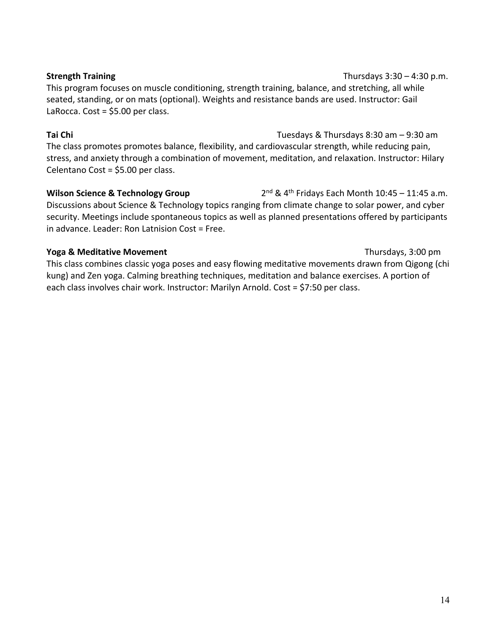### **Strength Training Thursdays 3:30 – 4:30 p.m.**

This program focuses on muscle conditioning, strength training, balance, and stretching, all while seated, standing, or on mats (optional). Weights and resistance bands are used. Instructor: Gail LaRocca. Cost = \$5.00 per class.

### **Tai Chi** Tuesdays & Thursdays 8:30 am – 9:30 am

The class promotes promotes balance, flexibility, and cardiovascular strength, while reducing pain, stress, and anxiety through a combination of movement, meditation, and relaxation. Instructor: Hilary Celentano Cost = \$5.00 per class.

**Wilson Science & Technology Group** 2<sup>nd</sup> & 4<sup>th</sup> Fridays Each Month 10:45 – 11:45 a.m. Discussions about Science & Technology topics ranging from climate change to solar power, and cyber security. Meetings include spontaneous topics as well as planned presentations offered by participants in advance. Leader: Ron Latnision Cost = Free.

### **Yoga & Meditative Movement Thursdays, 3:00 pm**

This class combines classic yoga poses and easy flowing meditative movements drawn from Qigong (chi kung) and Zen yoga. Calming breathing techniques, meditation and balance exercises. A portion of each class involves chair work. Instructor: Marilyn Arnold. Cost = \$7:50 per class.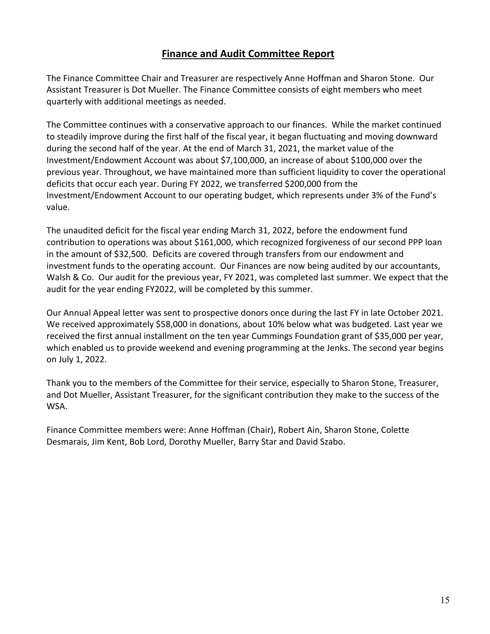# **Finance and Audit Committee Report**

The Finance Committee Chair and Treasurer are respectively Anne Hoffman and Sharon Stone. Our Assistant Treasurer is Dot Mueller. The Finance Committee consists of eight members who meet quarterly with additional meetings as needed.

The Committee continues with a conservative approach to our finances. While the market continued to steadily improve during the first half of the fiscal year, it began fluctuating and moving downward during the second half of the year. At the end of March 31, 2021, the market value of the Investment/Endowment Account was about \$7,100,000, an increase of about \$100,000 over the previous year. Throughout, we have maintained more than sufficient liquidity to cover the operational deficits that occur each year. During FY 2022, we transferred \$200,000 from the Investment/Endowment Account to our operating budget, which represents under 3% of the Fund's value.

The unaudited deficit for the fiscal year ending March 31, 2022, before the endowment fund contribution to operations was about \$161,000, which recognized forgiveness of our second PPP loan in the amount of \$32,500. Deficits are covered through transfers from our endowment and investment funds to the operating account. Our Finances are now being audited by our accountants, Walsh & Co. Our audit for the previous year, FY 2021, was completed last summer. We expect that the audit for the year ending FY2022, will be completed by this summer.

Our Annual Appeal letter was sent to prospective donors once during the last FY in late October 2021. We received approximately \$58,000 in donations, about 10% below what was budgeted. Last year we received the first annual installment on the ten year Cummings Foundation grant of \$35,000 per year, which enabled us to provide weekend and evening programming at the Jenks. The second year begins on July 1, 2022.

Thank you to the members of the Committee for their service, especially to Sharon Stone, Treasurer, and Dot Mueller, Assistant Treasurer, for the significant contribution they make to the success of the WSA.

Finance Committee members were: Anne Hoffman (Chair), Robert Ain, Sharon Stone, Colette Desmarais, Jim Kent, Bob Lord, Dorothy Mueller, Barry Star and David Szabo.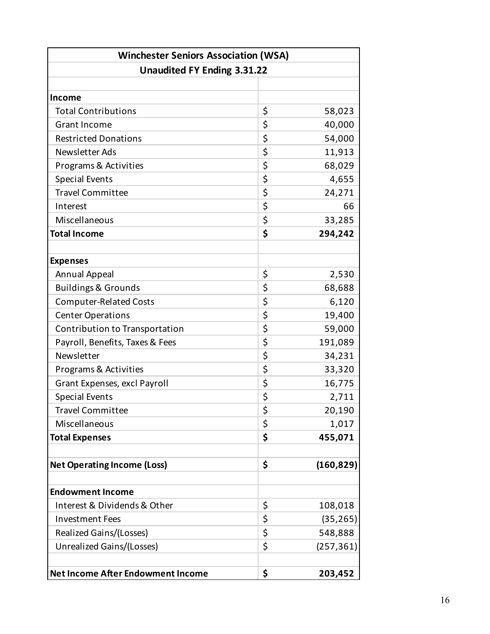| <b>Winchester Seniors Association (WSA)</b><br><b>Unaudited FY Ending 3.31.22</b> |    |            |  |
|-----------------------------------------------------------------------------------|----|------------|--|
|                                                                                   |    |            |  |
| <b>Income</b>                                                                     |    |            |  |
| <b>Total Contributions</b>                                                        | \$ | 58,023     |  |
| <b>Grant Income</b>                                                               | \$ | 40,000     |  |
| <b>Restricted Donations</b>                                                       | \$ | 54,000     |  |
| Newsletter Ads                                                                    | \$ | 11,913     |  |
| Programs & Activities                                                             | \$ | 68,029     |  |
| <b>Special Events</b>                                                             | \$ | 4,655      |  |
| <b>Travel Committee</b>                                                           | \$ | 24,271     |  |
| Interest                                                                          | \$ | 66         |  |
| Miscellaneous                                                                     | \$ | 33,285     |  |
| <b>Total Income</b>                                                               | \$ | 294,242    |  |
|                                                                                   |    |            |  |
| <b>Expenses</b>                                                                   |    |            |  |
| <b>Annual Appeal</b>                                                              | \$ | 2,530      |  |
| <b>Buildings &amp; Grounds</b>                                                    | \$ | 68,688     |  |
| <b>Computer-Related Costs</b>                                                     | \$ | 6,120      |  |
| <b>Center Operations</b>                                                          | \$ | 19,400     |  |
| Contribution to Transportation                                                    | \$ | 59,000     |  |
| Payroll, Benefits, Taxes & Fees                                                   | \$ | 191,089    |  |
| Newsletter                                                                        | \$ | 34,231     |  |
| Programs & Activities                                                             | \$ | 33,320     |  |
| Grant Expenses, excl Payroll                                                      | \$ | 16,775     |  |
| <b>Special Events</b>                                                             | \$ | 2,711      |  |
| <b>Travel Committee</b>                                                           | \$ | 20,190     |  |
| Miscellaneous                                                                     | \$ | 1,017      |  |
| <b>Total Expenses</b>                                                             | \$ | 455,071    |  |
|                                                                                   |    |            |  |
| <b>Net Operating Income (Loss)</b>                                                | \$ | (160, 829) |  |
|                                                                                   |    |            |  |
| <b>Endowment Income</b>                                                           |    |            |  |
| Interest & Dividends & Other                                                      | \$ | 108,018    |  |
| <b>Investment Fees</b>                                                            | \$ | (35, 265)  |  |
| Realized Gains/(Losses)                                                           | \$ | 548,888    |  |
| Unrealized Gains/(Losses)                                                         | \$ | (257, 361) |  |
|                                                                                   |    |            |  |
| <b>Net Income After Endowment Income</b>                                          | \$ | 203,452    |  |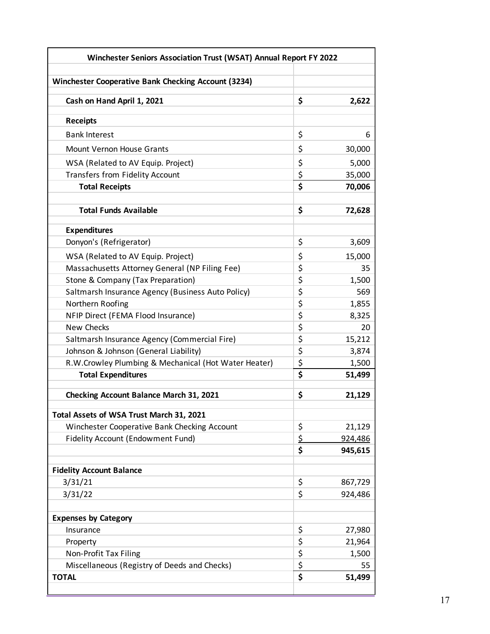| Winchester Seniors Association Trust (WSAT) Annual Report FY 2022 |                                 |                 |  |
|-------------------------------------------------------------------|---------------------------------|-----------------|--|
| Winchester Cooperative Bank Checking Account (3234)               |                                 |                 |  |
|                                                                   |                                 |                 |  |
| Cash on Hand April 1, 2021                                        | \$                              | 2,622           |  |
| <b>Receipts</b>                                                   |                                 |                 |  |
| <b>Bank Interest</b>                                              | \$                              | 6               |  |
| <b>Mount Vernon House Grants</b>                                  | \$                              | 30,000          |  |
| WSA (Related to AV Equip. Project)                                | \$                              | 5,000           |  |
| <b>Transfers from Fidelity Account</b>                            | \$                              | 35,000          |  |
| <b>Total Receipts</b>                                             | \$                              | 70,006          |  |
|                                                                   |                                 |                 |  |
| <b>Total Funds Available</b>                                      | \$                              | 72,628          |  |
| <b>Expenditures</b>                                               |                                 |                 |  |
| Donyon's (Refrigerator)                                           | \$                              | 3,609           |  |
| WSA (Related to AV Equip. Project)                                | \$                              | 15,000          |  |
| Massachusetts Attorney General (NP Filing Fee)                    | \$                              | 35              |  |
| Stone & Company (Tax Preparation)                                 | \$                              | 1,500           |  |
| Saltmarsh Insurance Agency (Business Auto Policy)                 | \$                              | 569             |  |
| Northern Roofing                                                  | \$                              | 1,855           |  |
| NFIP Direct (FEMA Flood Insurance)                                | \$                              | 8,325           |  |
| <b>New Checks</b>                                                 | \$                              | 20              |  |
| Saltmarsh Insurance Agency (Commercial Fire)                      | \$                              | 15,212          |  |
| Johnson & Johnson (General Liability)                             | \$                              | 3,874           |  |
| R.W.Crowley Plumbing & Mechanical (Hot Water Heater)              | \$                              | 1,500           |  |
| <b>Total Expenditures</b>                                         | \$                              | 51,499          |  |
| <b>Checking Account Balance March 31, 2021</b>                    | \$                              | 21,129          |  |
| Total Assets of WSA Trust March 31, 2021                          |                                 |                 |  |
| Winchester Cooperative Bank Checking Account                      | \$                              | 21,129          |  |
| <b>Fidelity Account (Endowment Fund)</b>                          | \$                              | 924,486         |  |
|                                                                   | \$                              | 945,615         |  |
| <b>Fidelity Account Balance</b>                                   |                                 |                 |  |
| 3/31/21                                                           | \$                              | 867,729         |  |
| 3/31/22                                                           | \$                              | 924,486         |  |
|                                                                   |                                 |                 |  |
| <b>Expenses by Category</b>                                       | \$                              |                 |  |
| Insurance                                                         | \$                              | 27,980          |  |
| Property<br>Non-Profit Tax Filing                                 | \$                              | 21,964<br>1,500 |  |
| Miscellaneous (Registry of Deeds and Checks)                      | \$                              | 55              |  |
| <b>TOTAL</b>                                                      | $\overline{\boldsymbol{\zeta}}$ | 51,499          |  |
|                                                                   |                                 |                 |  |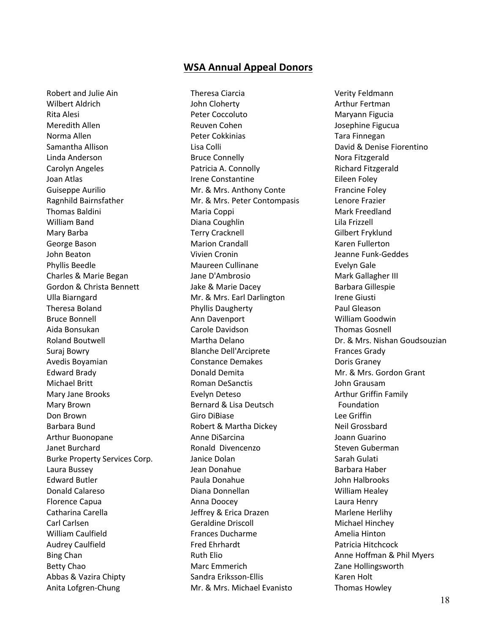### **WSA Annual Appeal Donors**

Robert and Julie Ain Wilbert Aldrich Rita Alesi Meredith Allen Norma Allen Samantha Allison Linda Anderson Carolyn Angeles Joan Atlas Guiseppe Aurilio Ragnhild Bairnsfather Thomas Baldini William Band Mary Barba George Bason John Beaton Phyllis Beedle Charles & Marie Began Gordon & Christa Bennett Ulla Biarngard Theresa Boland Bruce Bonnell Aida Bonsukan Roland Boutwell Suraj Bowry Avedis Boyamian Edward Brady Michael Britt Mary Jane Brooks Mary Brown Don Brown Barbara Bund Arthur Buonopane Janet Burchard Burke Property Services Corp. Laura Bussey Edward Butler Donald Calareso Florence Capua Catharina Carella Carl Carlsen William Caulfield Audrey Caulfield Bing Chan Betty Chao Abbas & Vazira Chipty Anita Lofgren-Chung

Theresa Ciarcia John Cloherty Peter Coccoluto Reuven Cohen Peter Cokkinias Lisa Colli Bruce Connelly Patricia A. Connolly Irene Constantine Mr. & Mrs. Anthony Conte Mr. & Mrs. Peter Contompasis Maria Coppi Diana Coughlin Terry Cracknell Marion Crandall Vivien Cronin Maureen Cullinane Jane D'Ambrosio Jake & Marie Dacey Mr. & Mrs. Earl Darlington Phyllis Daugherty Ann Davenport Carole Davidson Martha Delano Blanche Dell'Arciprete Constance Demakes Donald Demita Roman DeSanctis Evelyn Deteso Bernard & Lisa Deutsch Giro DiBiase Robert & Martha Dickey Anne DiSarcina Ronald Divencenzo Janice Dolan Jean Donahue Paula Donahue Diana Donnellan Anna Doocey Jeffrey & Erica Drazen Geraldine Driscoll Frances Ducharme Fred Ehrhardt Ruth Elio Marc Emmerich Sandra Eriksson-Ellis Mr. & Mrs. Michael Evanisto

Verity Feldmann Arthur Fertman Maryann Figucia Josephine Figucua Tara Finnegan David & Denise Fiorentino Nora Fitzgerald Richard Fitzgerald Eileen Foley Francine Foley Lenore Frazier Mark Freedland Lila Frizzell Gilbert Fryklund Karen Fullerton Jeanne Funk-Geddes Evelyn Gale Mark Gallagher III Barbara Gillespie Irene Giusti Paul Gleason William Goodwin Thomas Gosnell Dr. & Mrs. Nishan Goudsouzian Frances Grady Doris Graney Mr. & Mrs. Gordon Grant John Grausam Arthur Griffin Family Foundation Lee Griffin Neil Grossbard Joann Guarino Steven Guberman Sarah Gulati Barbara Haber John Halbrooks William Healey Laura Henry Marlene Herlihy Michael Hinchey Amelia Hinton Patricia Hitchcock Anne Hoffman & Phil Myers Zane Hollingsworth Karen Holt Thomas Howley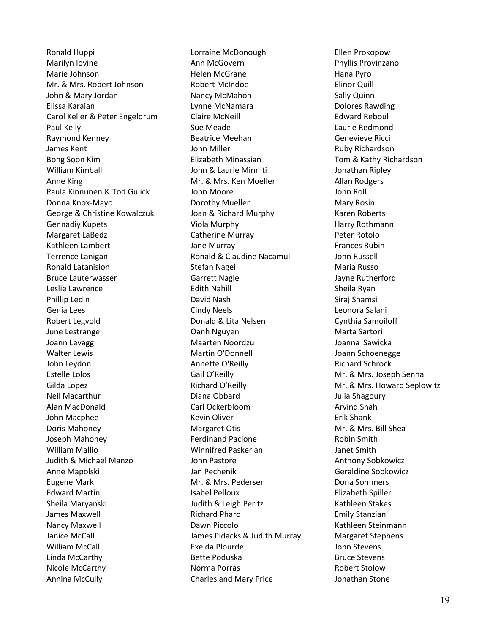Ronald Huppi Marilyn Iovine Marie Johnson Mr. & Mrs. Robert Johnson John & Mary Jordan Elissa Karaian Carol Keller & Peter Engeldrum Paul Kelly Raymond Kenney James Kent Bong Soon Kim William Kimball Anne King Paula Kinnunen & Tod Gulick Donna Knox-Mayo George & Christine Kowalczuk Gennadiy Kupets Margaret LaBedz Kathleen Lambert Terrence Lanigan Ronald Latanision Bruce Lauterwasser Leslie Lawrence Phillip Ledin Genia Lees Robert Legvold June Lestrange Joann Levaggi Walter Lewis John Leydon Estelle Lolos Gilda Lopez Neil Macarthur Alan MacDonald John Macphee Doris Mahoney Joseph Mahoney William Mallio Judith & Michael Manzo Anne Mapolski Eugene Mark Edward Martin Sheila Maryanski James Maxwell Nancy Maxwell Janice McCall William McCall Linda McCarthy Nicole McCarthy Annina McCully

Lorraine McDonough Ann McGovern Helen McGrane Robert McIndoe Nancy McMahon Lynne McNamara Claire McNeill Sue Meade Beatrice Meehan John Miller Elizabeth Minassian John & Laurie Minniti Mr. & Mrs. Ken Moeller John Moore Dorothy Mueller Joan & Richard Murphy Viola Murphy Catherine Murray Jane Murray Ronald & Claudine Nacamuli Stefan Nagel Garrett Nagle Edith Nahill David Nash Cindy Neels Donald & Lita Nelsen Oanh Nguyen Maarten Noordzu Martin O'Donnell Annette O'Reilly Gail O'Reilly Richard O'Reilly Diana Obbard Carl Ockerbloom Kevin Oliver Margaret Otis Ferdinand Pacione Winnifred Paskerian John Pastore Jan Pechenik Mr. & Mrs. Pedersen Isabel Pelloux Judith & Leigh Peritz Richard Pharo Dawn Piccolo James Pidacks & Judith Murray Exelda Plourde Bette Poduska Norma Porras Charles and Mary Price

Ellen Prokopow Phyllis Provinzano Hana Pyro Elinor Quill Sally Quinn Dolores Rawding Edward Reboul Laurie Redmond Genevieve Ricci Ruby Richardson Tom & Kathy Richardson Jonathan Ripley Allan Rodgers John Roll Mary Rosin Karen Roberts Harry Rothmann Peter Rotolo Frances Rubin John Russell Maria Russo Jayne Rutherford Sheila Ryan Siraj Shamsi Leonora Salani Cynthia Samoiloff Marta Sartori Joanna Sawicka Joann Schoenegge Richard Schrock Mr. & Mrs. Joseph Senna Mr. & Mrs. Howard Seplowitz Julia Shagoury Arvind Shah Erik Shank Mr. & Mrs. Bill Shea Robin Smith Janet Smith Anthony Sobkowicz Geraldine Sobkowicz Dona Sommers Elizabeth Spiller Kathleen Stakes Emily Stanziani Kathleen Steinmann Margaret Stephens John Stevens Bruce Stevens Robert Stolow Jonathan Stone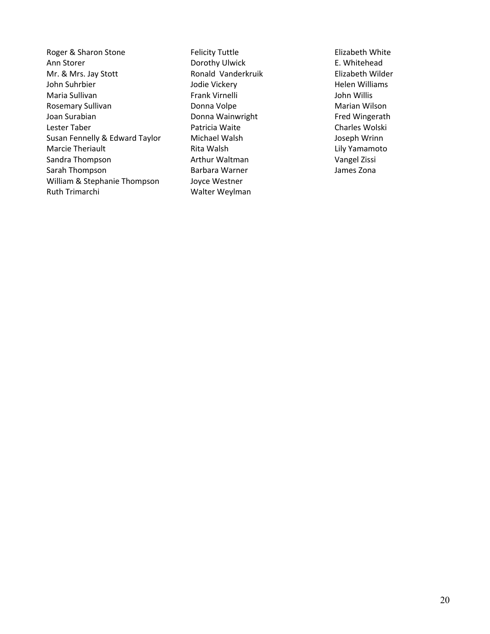Roger & Sharon Stone Ann Storer Mr. & Mrs. Jay Stott John Suhrbier Maria Sullivan Rosemary Sullivan Joan Surabian Lester Taber Susan Fennelly & Edward Taylor Marcie Theriault Sandra Thompson Sarah Thompson William & Stephanie Thompson Ruth Trimarchi

Felicity Tuttle Dorothy Ulwick Ronald Vanderkruik Jodie Vickery Frank Virnelli Donna Volpe Donna Wainwright Patricia Waite Michael Walsh Rita Walsh Arthur Waltman Barbara Warner Joyce Westner Walter Weylman

Elizabeth White E. Whitehead Elizabeth Wilder Helen Williams John Willis Marian Wilson Fred Wingerath Charles Wolski Joseph Wrinn Lily Yamamoto Vangel Zissi James Zona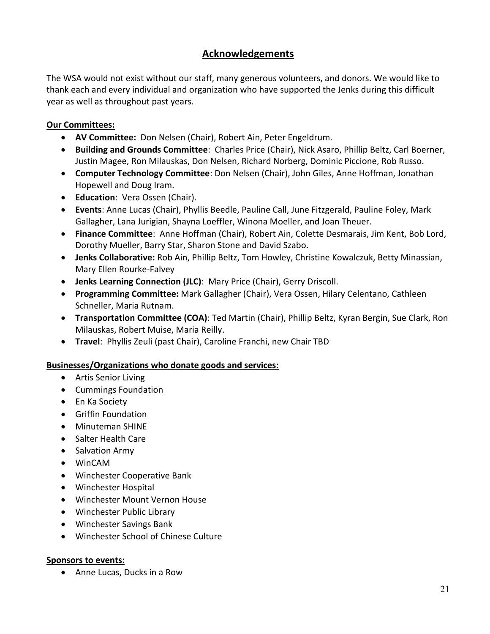# **Acknowledgements**

The WSA would not exist without our staff, many generous volunteers, and donors. We would like to thank each and every individual and organization who have supported the Jenks during this difficult year as well as throughout past years.

### **Our Committees:**

- **AV Committee:** Don Nelsen (Chair), Robert Ain, Peter Engeldrum.
- **Building and Grounds Committee**: Charles Price (Chair), Nick Asaro, Phillip Beltz, Carl Boerner, Justin Magee, Ron Milauskas, Don Nelsen, Richard Norberg, Dominic Piccione, Rob Russo.
- **Computer Technology Committee**: Don Nelsen (Chair), John Giles, Anne Hoffman, Jonathan Hopewell and Doug Iram.
- **Education**: Vera Ossen (Chair).
- **Events**: Anne Lucas (Chair), Phyllis Beedle, Pauline Call, June Fitzgerald, Pauline Foley, Mark Gallagher, Lana Jurigian, Shayna Loeffler, Winona Moeller, and Joan Theuer.
- **Finance Committee**: Anne Hoffman (Chair), Robert Ain, Colette Desmarais, Jim Kent, Bob Lord, Dorothy Mueller, Barry Star, Sharon Stone and David Szabo.
- **Jenks Collaborative:** Rob Ain, Phillip Beltz, Tom Howley, Christine Kowalczuk, Betty Minassian, Mary Ellen Rourke-Falvey
- **Jenks Learning Connection (JLC)**: Mary Price (Chair), Gerry Driscoll.
- **Programming Committee:** Mark Gallagher (Chair), Vera Ossen, Hilary Celentano, Cathleen Schneller, Maria Rutnam.
- **Transportation Committee (COA)**: Ted Martin (Chair), Phillip Beltz, Kyran Bergin, Sue Clark, Ron Milauskas, Robert Muise, Maria Reilly.
- **Travel**: Phyllis Zeuli (past Chair), Caroline Franchi, new Chair TBD

### **Businesses/Organizations who donate goods and services:**

- Artis Senior Living
- Cummings Foundation
- En Ka Society
- Griffin Foundation
- Minuteman SHINE
- Salter Health Care
- Salvation Army
- WinCAM
- Winchester Cooperative Bank
- Winchester Hospital
- Winchester Mount Vernon House
- Winchester Public Library
- Winchester Savings Bank
- Winchester School of Chinese Culture

### **Sponsors to events:**

• Anne Lucas, Ducks in a Row